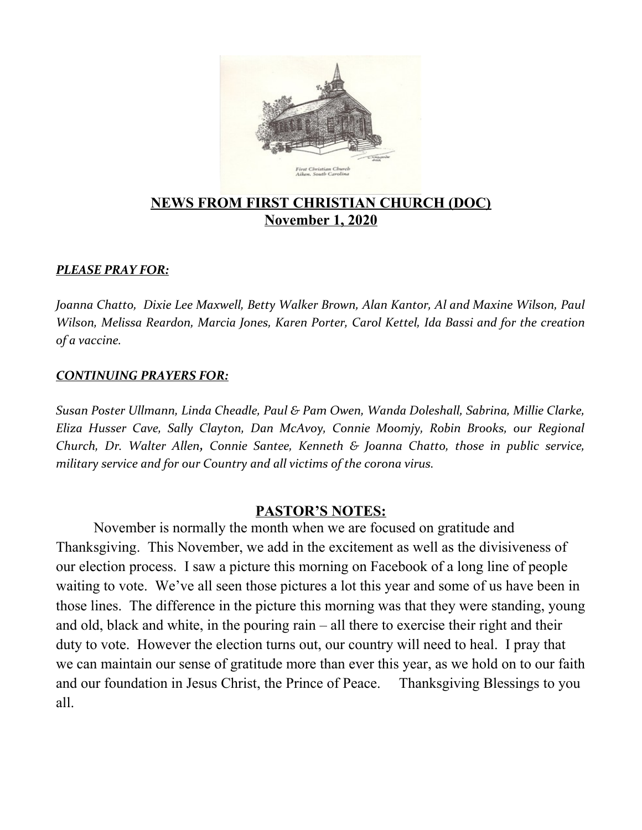

#### **NEWS FROM FIRST CHRISTIAN CHURCH (DOC) November 1, 2020**

#### *PLEASE PRAY FOR:*

*Joanna Chatto, Dixie Lee Maxwell, Betty Walker Brown, Alan Kantor, Al and Maxine Wilson, Paul Wilson, Melissa Reardon, Marcia Jones, Karen Porter, Carol Kettel, Ida Bassi and for the creation of a vaccine.*

#### *CONTINUING PRAYERS FOR:*

*Susan Poster Ullmann, Linda Cheadle, Paul & Pam Owen, Wanda Doleshall, Sabrina, Millie Clarke, Eliza Husser Cave, Sally Clayton, Dan McAvoy, Connie Moomjy, Robin Brooks, our Regional Church, Dr. Walter Allen, Connie Santee, Kenneth & Joanna Chatto, those in public service, military service and for our Country and all victims of the corona virus.* 

#### **PASTOR'S NOTES:**

November is normally the month when we are focused on gratitude and Thanksgiving. This November, we add in the excitement as well as the divisiveness of our election process. I saw a picture this morning on Facebook of a long line of people waiting to vote. We've all seen those pictures a lot this year and some of us have been in those lines. The difference in the picture this morning was that they were standing, young and old, black and white, in the pouring rain – all there to exercise their right and their duty to vote. However the election turns out, our country will need to heal. I pray that we can maintain our sense of gratitude more than ever this year, as we hold on to our faith and our foundation in Jesus Christ, the Prince of Peace. Thanksgiving Blessings to you all.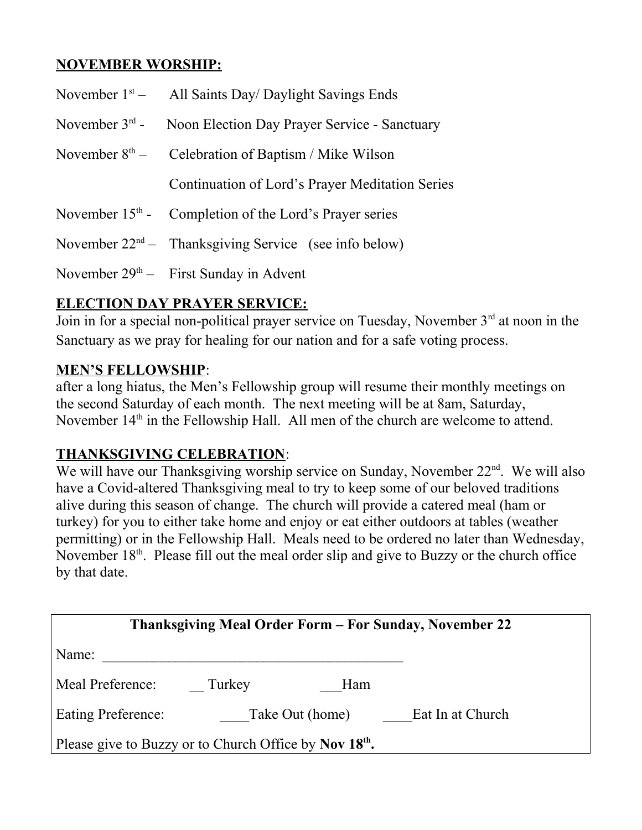# **NOVEMBER WORSHIP:**

|                  | November $1st$ - All Saints Day/ Daylight Savings Ends     |  |  |
|------------------|------------------------------------------------------------|--|--|
| November $3rd$ - | Noon Election Day Prayer Service - Sanctuary               |  |  |
|                  | November $8th$ – Celebration of Baptism / Mike Wilson      |  |  |
|                  | Continuation of Lord's Prayer Meditation Series            |  |  |
|                  | November $15th$ - Completion of the Lord's Prayer series   |  |  |
|                  | November $22^{nd}$ – Thanksgiving Service (see info below) |  |  |
|                  | November $29th$ – First Sunday in Advent                   |  |  |

# **ELECTION DAY PRAYER SERVICE:**

Join in for a special non-political prayer service on Tuesday, November 3<sup>rd</sup> at noon in the Sanctuary as we pray for healing for our nation and for a safe voting process.

#### **MEN'S FELLOWSHIP**:

after a long hiatus, the Men's Fellowship group will resume their monthly meetings on the second Saturday of each month. The next meeting will be at 8am, Saturday, November  $14<sup>th</sup>$  in the Fellowship Hall. All men of the church are welcome to attend.

### **THANKSGIVING CELEBRATION**:

We will have our Thanksgiving worship service on Sunday, November 22<sup>nd</sup>. We will also have a Covid-altered Thanksgiving meal to try to keep some of our beloved traditions alive during this season of change. The church will provide a catered meal (ham or turkey) for you to either take home and enjoy or eat either outdoors at tables (weather permitting) or in the Fellowship Hall. Meals need to be ordered no later than Wednesday, November  $18<sup>th</sup>$ . Please fill out the meal order slip and give to Buzzy or the church office by that date.

| <b>Thanksgiving Meal Order Form – For Sunday, November 22</b>      |                 |                  |  |  |  |
|--------------------------------------------------------------------|-----------------|------------------|--|--|--|
| Name:                                                              |                 |                  |  |  |  |
| Meal Preference:<br>Turkey                                         | Ham             |                  |  |  |  |
| <b>Eating Preference:</b>                                          | Take Out (home) | Eat In at Church |  |  |  |
| Please give to Buzzy or to Church Office by Nov 18 <sup>th</sup> . |                 |                  |  |  |  |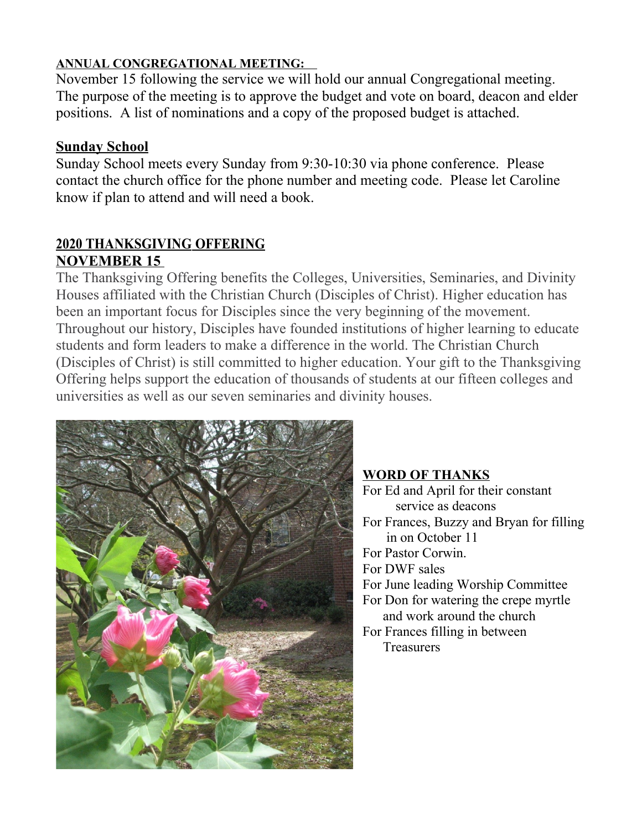### **ANNUAL CONGREGATIONAL MEETING:**

November 15 following the service we will hold our annual Congregational meeting. The purpose of the meeting is to approve the budget and vote on board, deacon and elder positions. A list of nominations and a copy of the proposed budget is attached.

#### **Sunday School**

Sunday School meets every Sunday from 9:30-10:30 via phone conference. Please contact the church office for the phone number and meeting code. Please let Caroline know if plan to attend and will need a book.

### **2020 THANKSGIVING OFFERING NOVEMBER 15**

The Thanksgiving Offering benefits the Colleges, Universities, Seminaries, and Divinity Houses affiliated with the Christian Church (Disciples of Christ). Higher education has been an important focus for Disciples since the very beginning of the movement. Throughout our history, Disciples have founded institutions of higher learning to educate students and form leaders to make a difference in the world. The Christian Church (Disciples of Christ) is still committed to higher education. Your gift to the Thanksgiving Offering helps support the education of thousands of students at our fifteen colleges and universities as well as our seven seminaries and divinity houses.



**WORD OF THANKS** For Ed and April for their constant service as deacons For Frances, Buzzy and Bryan for filling in on October 11 For Pastor Corwin. For DWF sales For June leading Worship Committee For Don for watering the crepe myrtle and work around the church For Frances filling in between **Treasurers**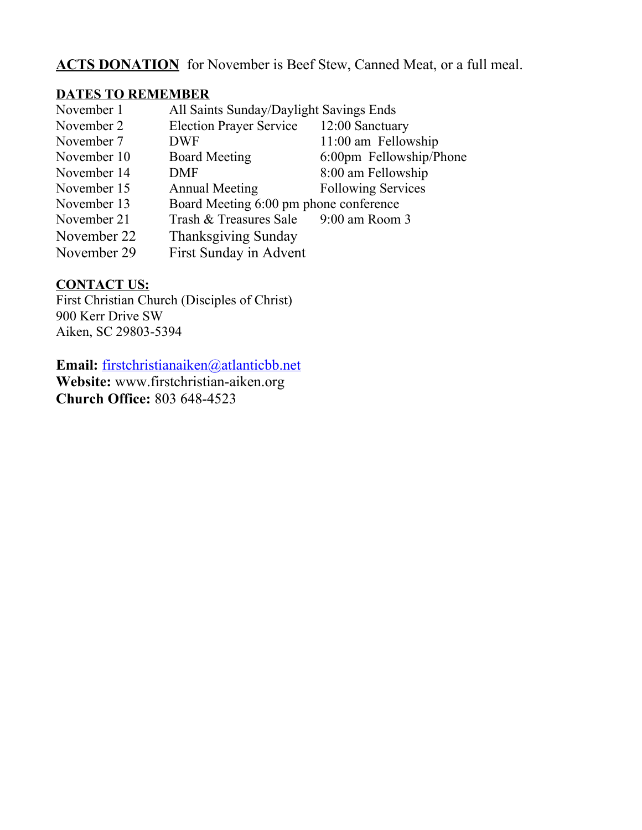# ACTS DONATION for November is Beef Stew, Canned Meat, or a full meal.

#### **DATES TO REMEMBER**

| November 1  | All Saints Sunday/Daylight Savings Ends |                           |
|-------------|-----------------------------------------|---------------------------|
| November 2  | <b>Election Prayer Service</b>          | 12:00 Sanctuary           |
| November 7  | <b>DWF</b>                              | 11:00 am Fellowship       |
| November 10 | <b>Board Meeting</b>                    | 6:00pm Fellowship/Phone   |
| November 14 | <b>DMF</b>                              | 8:00 am Fellowship        |
| November 15 | <b>Annual Meeting</b>                   | <b>Following Services</b> |
| November 13 | Board Meeting 6:00 pm phone conference  |                           |
| November 21 | Trash & Treasures Sale                  | 9:00 am Room 3            |
| November 22 | <b>Thanksgiving Sunday</b>              |                           |
| November 29 | First Sunday in Advent                  |                           |

#### **CONTACT US:**

First Christian Church (Disciples of Christ) 900 Kerr Drive SW Aiken, SC 29803-5394

**Email:** [firstchristianaiken@atlanticbb.net](mailto:firstchristianaiken@atlanticbb.net)

**Website:** www.firstchristian-aiken.org **Church Office:** 803 648-4523